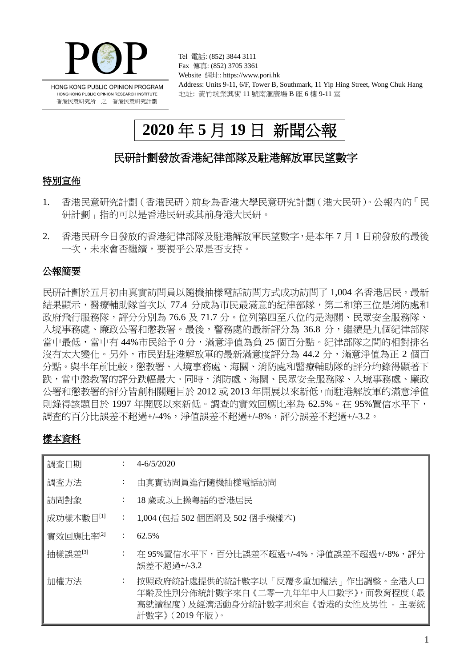

Tel 電話: (852) 3844 3111 Fax 傳真: (852) 3705 3361 Website 網址: https://www.pori.hk Address: Units 9-11, 6/F, Tower B, Southmark, 11 Yip Hing Street, Wong Chuk Hang 地址: 黃竹坑業興街 11 號南滙廣場 B 座 6 樓 9-11 室

# **2020** 年 **5** 月 **19** 日 新聞公報

# 民研計劃發放香港紀律部隊及駐港解放軍民望數字

## 特別宣佈

- 1. 香港民意研究計劃(香港民研)前身為香港大學民意研究計劃(港大民研)。公報內的「民 研計劃」指的可以是香港民研或其前身港大民研。
- 2. 香港民研今日發放的香港紀律部隊及駐港解放軍民望數字,是本年 7 月 1 日前發放的最後 一次,未來會否繼續,要視乎公眾是否支持。

## 公報簡要

民研計劃於五月初由真實訪問員以隨機抽樣電話訪問方式成功訪問了 1,004 名香港居民。最新 結果顯示,醫療輔助隊首次以 77.4 分成為市民最滿意的紀律部隊,第二和第三位是消防處和 政府飛行服務隊,評分分別為 76.6 及 71.7 分。位列第四至八位的是海關、民眾安全服務隊、 入境事務處、廉政公署和懲教署。最後,警務處的最新評分為 36.8 分,繼續是九個紀律部隊 當中最低,當中有44%市民給予0分,滿意淨值為負25個百分點。紀律部隊之間的相對排名 沒有太大變化。另外,市民對駐港解放軍的最新滿意度評分為 44.2 分,滿意淨值為正 2 個百 分點。與半年前比較,懲教署、入境事務處、海關、消防處和醫療輔助隊的評分均錄得顯著下 跌,當中懲教署的評分跌幅最大。同時,消防處、海關、民眾安全服務隊、入境事務處、廉政 公署和懲教署的評分皆創相關題目於 2012 或 2013 年開展以來新低,而駐港解放軍的滿意淨值 則錄得該題目於 1997 年開展以來新低。調查的實效回應比率為 62.5%。在 95%置信水平下, 調查的百分比誤差不超過+/-4%,淨值誤差不超過+/-8%,評分誤差不超過+/-3.2。

## 樣本資料

| 調査日期                  |                             | $4 - 6/5/2020$                                                                                                                    |
|-----------------------|-----------------------------|-----------------------------------------------------------------------------------------------------------------------------------|
| 調査方法                  | $\mathbb{Z}^n$ .            | 由真實訪問員進行隨機抽樣電話訪問                                                                                                                  |
| 訪問對象                  | $\mathbb{Z}^n$ .            | 18 歲或以上操粵語的香港居民                                                                                                                   |
| 成功樣本數目[1]             | $\mathcal{I}^{\mathcal{I}}$ | - 1,004 (包括 502 個固網及 502 個手機樣本)                                                                                                   |
| 實效回應比率 <sup>[2]</sup> | $\mathbb{Z}^{\mathbb{Z}}$   | 62.5%                                                                                                                             |
| 抽樣誤差[3]               | $\mathbb{Z}^{\mathbb{Z}}$   | 在 95%置信水平下,百分比誤差不超過+/-4%,淨值誤差不超過+/-8%,評分<br>誤差不超過+/-3.2                                                                           |
| 加權方法                  | ÷                           | 按照政府統計處提供的統計數字以「反覆多重加權法」作出調整。全港人口<br>年齡及性別分佈統計數字來自《二零一九年年中人口數字》,而教育程度(最<br>高就讀程度)及經濟活動身分統計數字則來自《香港的女性及男性 - 主要統<br>計數字》 (2019年版 )。 |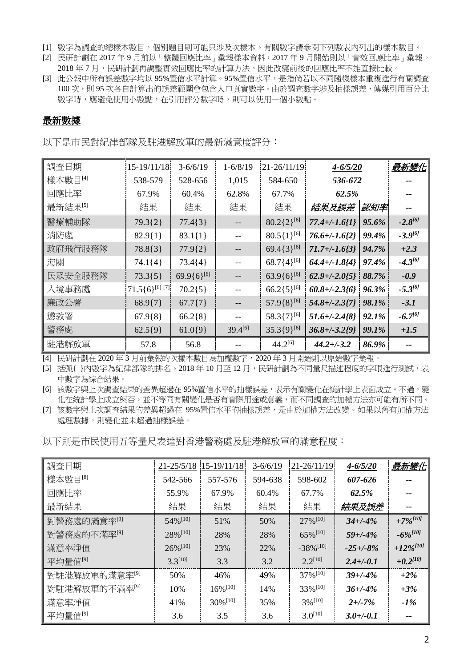- [1] 數字為調查的總樣本數目,個別題目則可能只涉及次樣本。有關數字請參閱下列數表內列出的樣本數目。
- [2] 民研計劃在 2017 年 9 月前以「整體回應比率」彙報樣本資料,2017 年 9 月開始則以「實效回應比率」彙報。 2018年7月,民研計劃再調整實效回應比率的計算方法,因此改變前後的回應比率不能直接比較。
- [3] 此公報中所有誤差數字均以 95%置信水平計算。95%置信水平,是指倘若以不同隨機樣本重複進行有關調查 100 次,則 95 次各自計算出的誤差範圍會包含人口真實數字。由於調查數字涉及抽樣誤差,傳媒引用百分比 數字時,應避免使用小數點,在引用評分數字時,則可以使用一個小數點。

### 最新數據

以下是市民對紀律部隊及駐港解放軍的最新滿意度評分:

| 調査日期                | 15-19/11/18           | $3-6/6/19$      | $1 - 6/8/19$ | $21 - 26/11/19$    | $4 - 6/5/20$      |       | 最新變化         |
|---------------------|-----------------------|-----------------|--------------|--------------------|-------------------|-------|--------------|
| 樣本數目[4]             | 538-579               | 528-656         | 1,015        | 584-650            | 536-672           |       |              |
| 回應比率                | 67.9%                 | 60.4%           | 62.8%        | 67.7%              | 62.5%             |       |              |
| 最新結果 <sup>[5]</sup> | 結果                    | 結果              | 結果           | 結果                 | 結果及誤差             | 認知率   |              |
| 醫療輔助隊               | $79.3{2}$             | $77.4\{3\}$     |              | $80.2\{2\}^{[6]}$  | $77.4 + (-1.6)1$  | 95.6% | $-2.8^{[6]}$ |
| 消防處                 | $82.9{1}$             | $83.1\{1\}$     |              | $80.5\{1\}^{[6]}$  | $76.6 + (-1.62)$  | 99.4% | $-3.9^{[6]}$ |
| 政府飛行服務隊             | $78.8\{3\}$           | $77.9{2}$       |              | 69.4 $\{3\}^{[6]}$ | $71.7 + (-1.6)^3$ | 94.7% | $+2.3$       |
| 海關                  | $74.1\{4\}$           | $73.4{4}$       |              | $68.7\{4\}^{[6]}$  | $64.4 + (-1.8)4$  | 97.4% | $-4.3^{[6]}$ |
| 民眾安全服務隊             | $73.3{5}$             | $69.9{6}^{[6]}$ |              | $63.9{6}^{[6]}$    | $62.9 + (-2.015)$ | 88.7% | $-0.9$       |
| 入境事務處               | $71.5\{6\}^{[6] [7]}$ | $70.2{5}$       |              | $66.2\{5\}^{[6]}$  | $60.8 + (-2.3)$   | 96.3% | $-5.3^{[6]}$ |
| 廉政公署                | $68.9{7}$             | $67.7\{7\}$     |              | $57.9\{8\}^{[6]}$  | $54.8 + (-2.377)$ | 98.1% | $-3.1$       |
| 懲教署                 | $67.9\{8\}$           | $66.2\{8\}$     |              | 58.3{7}[6]         | $51.6 + (-2.4/8)$ | 92.1% | $-6.7^{[6]}$ |
| 警務處                 | $62.5{9}$             | $61.0{9}$       | $39.4^{[6]}$ | $35.3\{9\}^{[6]}$  | $36.8 + (-3.2)9$  | 99.1% | $+1.5$       |
| 駐港解放軍               | 57.8                  | 56.8            |              | $44.2^{[6]}$       | $44.2 + (-3.2)$   | 86.9% |              |

[4] 民研計劃在 2020 年 3 月前彙報的次樣本數目為加權數字,2020 年 3 月開始則以原始數字彙報。

[5] 括弧{}内數字為紀律部隊的排名。2018年10月至12月,民研計劃為不同量尺描述程度的字眼進行測試,表 中數字為綜合結果。

[6] 該數字與上次調查結果的差異超過在 95%置信水平的抽樣誤差,表示有關變化在統計學上表面成立。不過,變 化在統計學上成立與否,並不等同有關變化是否有實際用途或意義,而不同調查的加權方法亦可能有所不同。

[7] 該數字與上次調查結果的差異超過在 95%置信水平的抽樣誤差,是由於加權方法改變。如果以舊有加權方法 處理數據,則變化並未超過抽樣誤差。

以下則是市民使用五等量尺表達對香港警務處及駐港解放軍的滿意程度:

| 調査日期                      | $21 - 25/5/18$         | $15 - 19/11/18$        | $3-6/6/19$ | $21 - 26/11/19$         | $4 - 6/5/20$   | 最新變化                   |
|---------------------------|------------------------|------------------------|------------|-------------------------|----------------|------------------------|
| 樣本數目 <sup>[8]</sup>       | 542-566                | 557-576                | 594-638    | 598-602                 | 607-626        |                        |
| 回應比率                      | 55.9%                  | 67.9%                  | 60.4%      | 67.7%                   | 62.5%          |                        |
| 最新結果                      | 結果                     | 結果                     | 結果         | 結果                      | 結果及誤差          |                        |
| 對警務處的滿意率 <sup>[9]</sup>   | $54\%$ <sup>[10]</sup> | 51%                    | 50%        | $27\%$ <sup>[10]</sup>  | $34+/-4%$      | $+7\%$ <sup>[10]</sup> |
| 對警務處的不滿率 <sup>[9]</sup>   | 28% [10]               | 28%                    | 28%        | $65\%$ <sup>[10]</sup>  | $59 + (-4%$    | $-6\%^{[10]}$          |
| 滿意率淨值                     | $26\%$ <sup>[10]</sup> | 23%                    | 22%        | $-38\%$ <sup>[10]</sup> | $-25 + (-8)$   | $+12\%^{[10]}$         |
| 平均量值[9]                   | $3.3^{[10]}$           | 3.3                    | 3.2        | $2.2^{[10]}$            | $2.4 + (-0.1)$ | $+0.2^{[10]}$          |
| 對駐港解放軍的滿意率 <sup>[9]</sup> | 50%                    | 46%                    | 49%        | 37% [10]                | $39 + (-4%$    | $+2\%$                 |
| 對駐港解放軍的不滿率 <sup>[9]</sup> | 10%                    | $16\%$ <sup>[10]</sup> | 14%        | $33\%$ <sup>[10]</sup>  | $36 + (-4%$    | $+3\%$                 |
| 滿意率淨值                     | 41%                    | $30\%$ <sup>[10]</sup> | 35%        | $3\%$ <sup>[10]</sup>   | $2+/-7%$       | -1%                    |
| 平均量值[9]                   | 3.6                    | 3.5                    | 3.6        | $3.0^{[10]}$            | $3.0 + (-0.1)$ |                        |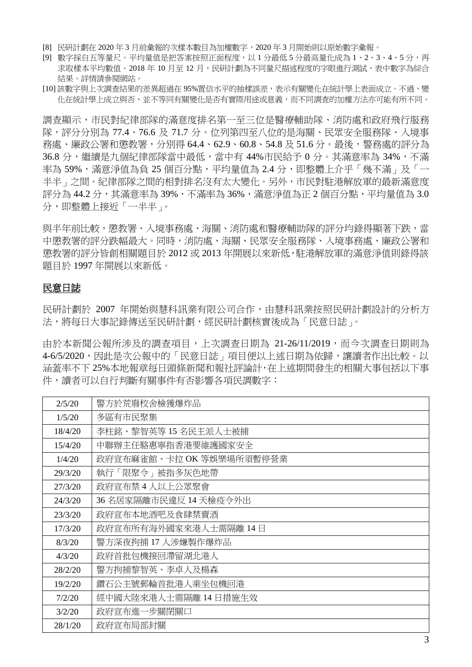- [8] 民研計劃在 2020 年 3 月前彙報的次樣本數目為加權數字,2020 年 3 月開始則以原始數字彙報。
- [9] 數字採自五等量尺。平均量值是把答案按照正面程度,以 1 分最低 5 分最高量化成為 1、2、3、4、5 分,再 求取樣本平均數值。2018年10月至12月,民研計劃為不同量尺描述程度的字眼進行測試,表中數字為綜合 結果。詳情請參閱網站。
- [10] 該數字與上次調查結果的差異超過在 95%置信水平的抽樣誤差,表示有關變化在統計學上表面成立。不過,變 化在統計學上成立與否,並不等同有關變化是否有實際用途或意義,而不同調查的加權方法亦可能有所不同。

調查顯示,市民對紀律部隊的滿意度排名第一至三位是醫療輔助隊、消防處和政府飛行服務 隊,評分分別為 77.4、76.6 及 71.7 分。位列第四至八位的是海關、民眾安全服務隊、入境事 務處、廉政公署和懲教署,分別得 64.4、62.9、60.8、54.8 及 51.6 分。最後,警務處的評分為 36.8 分,纖續是九個紀律部隊當中最低,當中有 44%市民給予 0 分。其滿意率為 34%,不滿 率為 59%,滿意淨值為負 25 個百分點,平均量值為 2.4 分,即整體上介乎「幾不滿」及「一 半半」之間。紀律部隊之間的相對排名沒有太大變化。另外,市民對駐港解放軍的最新滿意度 評分為 44.2 分,其滿意率為 39%,不滿率為 36%,滿意淨值為正 2 個百分點,平均量值為 3.0 分,即整體上接近「一半半」。

與半年前比較,懲教署、入境事務處、海關、消防處和醫療輔助隊的評分均錄得顯著下跌,當 中懲教署的評分跌幅最大。同時,消防處、海關、民眾安全服務隊、入境事務處、廉政公署和 懲教署的評分皆創相關題目於 2012 或 2013 年開展以來新低,駐港解放軍的滿意淨值則錄得該 題目於 1997 年開展以來新低。

#### 民意日誌

民研計劃於 2007 年開始與慧科訊業有限公司合作,由慧科訊業按照民研計劃設計的分析方 法,將每日大事記錄傳送至民研計劃,經民研計劃核實後成為「民意日誌」。

由於本新聞公報所涉及的調查項目,上次調查日期為 21-26/11/2019,而今次調查日期則為 4-6/5/2020,因此是次公報中的「民意日誌」項目便以上述日期為依歸,讓讀者作出比較。以 涵蓋率不下 25%本地報章每日頭條新聞和報社評論計,在上述期間發生的相關大事包括以下事 件,讀者可以自行判斷有關事件有否影響各項民調數字:

| 2/5/20  | 警方於荒廢校舍檢獲爆炸品             |
|---------|--------------------------|
| 1/5/20  | 多區有市民聚集                  |
| 18/4/20 | 李柱銘、黎智英等 15 名民主派人士被捕     |
| 15/4/20 | 中聯辦主任駱惠寧指香港要維護國家安全       |
| 1/4/20  | 政府宣布麻雀館、卡拉 OK 等娛樂場所須暫停營業 |
| 29/3/20 | 執行「限聚令」被指多灰色地帶           |
| 27/3/20 | 政府宣布禁 4 人以上公眾聚會          |
| 24/3/20 | 36 名居家隔離市民違反 14 天檢疫令外出   |
| 23/3/20 | 政府宣布本地酒吧及食肆禁賣酒           |
| 17/3/20 | 政府宣布所有海外國家來港人士需隔離 14日    |
| 8/3/20  | 警方深夜拘捕 17 人涉嫌製作爆炸品       |
| 4/3/20  | 政府首批包機接回滯留湖北港人           |
| 28/2/20 | 警方拘捕黎智英、李卓人及楊森           |
| 19/2/20 | 鑽石公主號郵輪首批港人乘坐包機回港        |
| 7/2/20  | 經中國大陸來港人士需隔離 14 日措施生效    |
| 3/2/20  | 政府宣布進一步關閉關口              |
| 28/1/20 | 政府宣布局部封關                 |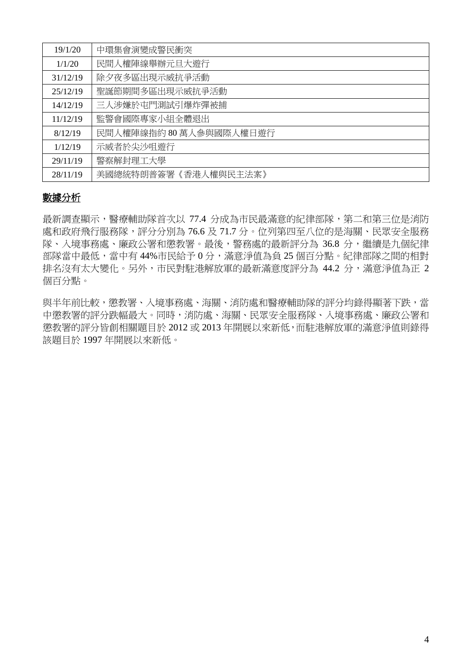| 19/1/20  | 中環集會演變成警民衝突             |
|----------|-------------------------|
| 1/1/20   | 民間人權陣線舉辦元旦大遊行           |
| 31/12/19 | 除夕夜多區出現示威抗爭活動           |
| 25/12/19 | 聖誕節期間多區出現示威抗爭活動         |
| 14/12/19 | 三人涉嫌於屯門測試引爆炸彈被捕         |
| 11/12/19 | 監警會國際專家小組全體退出           |
| 8/12/19  | 民間人權陣線指約 80 萬人參與國際人權日遊行 |
| 1/12/19  | 示威者於尖沙咀遊行               |
| 29/11/19 | 警察解封理工大學                |
| 28/11/19 | 美國總統特朗普簽署《香港人權與民主法案》    |

### 數據分析

最新調查顯示,醫療輔助隊首次以 77.4 分成為市民最滿意的紀律部隊,第二和第三位是消防 處和政府飛行服務隊,評分分別為 76.6 及 71.7 分。位列第四至八位的是海關、民眾安全服務 隊、入境事務處、廉政公署和懲教署。最後,警務處的最新評分為 36.8 分,繼續是九個紀律 部隊當中最低,當中有 44%市民給予 0 分,滿意淨值為負 25 個百分點。紀律部隊之間的相對 排名沒有太大變化。另外,市民對駐港解放軍的最新滿意度評分為 44.2 分,滿意淨值為正 2 個百分點。

與半年前比較,懲教署、入境事務處、海關、消防處和醫療輔助隊的評分均錄得顯著下跌,當 中懲教署的評分跌幅最大。同時,消防處、海關、民眾安全服務隊、入境事務處、廉政公署和 懲教署的評分皆創相關題目於 2012 或 2013 年開展以來新低,而駐港解放軍的滿意淨值則錄得 該題目於 1997 年開展以來新低。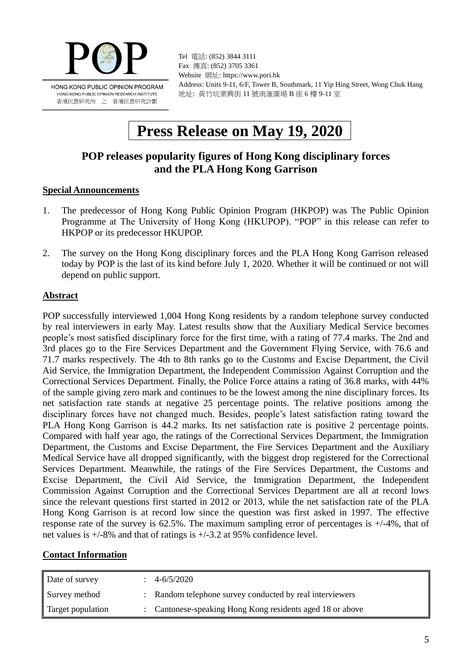

Tel 電話: (852) 3844 3111 Fax 傳真: (852) 3705 3361 Website 網址: https://www.pori.hk Address: Units 9-11, 6/F, Tower B, Southmark, 11 Yip Hing Street, Wong Chuk Hang 地址: 黃竹坑業興街 11 號南滙廣場 B 座 6 樓 9-11 室

# **Press Release on May 19, 2020**

# **POP releases popularity figures of Hong Kong disciplinary forces and the PLA Hong Kong Garrison**

### **Special Announcements**

- 1. The predecessor of Hong Kong Public Opinion Program (HKPOP) was The Public Opinion Programme at The University of Hong Kong (HKUPOP). "POP" in this release can refer to HKPOP or its predecessor HKUPOP.
- 2. The survey on the Hong Kong disciplinary forces and the PLA Hong Kong Garrison released today by POP is the last of its kind before July 1, 2020. Whether it will be continued or not will depend on public support.

### **Abstract**

POP successfully interviewed 1,004 Hong Kong residents by a random telephone survey conducted by real interviewers in early May. Latest results show that the Auxiliary Medical Service becomes people's most satisfied disciplinary force for the first time, with a rating of 77.4 marks. The 2nd and 3rd places go to the Fire Services Department and the Government Flying Service, with 76.6 and 71.7 marks respectively. The 4th to 8th ranks go to the Customs and Excise Department, the Civil Aid Service, the Immigration Department, the Independent Commission Against Corruption and the Correctional Services Department. Finally, the Police Force attains a rating of 36.8 marks, with 44% of the sample giving zero mark and continues to be the lowest among the nine disciplinary forces. Its net satisfaction rate stands at negative 25 percentage points. The relative positions among the disciplinary forces have not changed much. Besides, people's latest satisfaction rating toward the PLA Hong Kong Garrison is 44.2 marks. Its net satisfaction rate is positive 2 percentage points. Compared with half year ago, the ratings of the Correctional Services Department, the Immigration Department, the Customs and Excise Department, the Fire Services Department and the Auxiliary Medical Service have all dropped significantly, with the biggest drop registered for the Correctional Services Department. Meanwhile, the ratings of the Fire Services Department, the Customs and Excise Department, the Civil Aid Service, the Immigration Department, the Independent Commission Against Corruption and the Correctional Services Department are all at record lows since the relevant questions first started in 2012 or 2013, while the net satisfaction rate of the PLA Hong Kong Garrison is at record low since the question was first asked in 1997. The effective response rate of the survey is 62.5%. The maximum sampling error of percentages is +/-4%, that of net values is +/-8% and that of ratings is +/-3.2 at 95% confidence level.

### **Contact Information**

| Date of survey    | 4-6/5/2020                                                |
|-------------------|-----------------------------------------------------------|
| Survey method     | : Random telephone survey conducted by real interviewers  |
| Target population | : Cantonese-speaking Hong Kong residents aged 18 or above |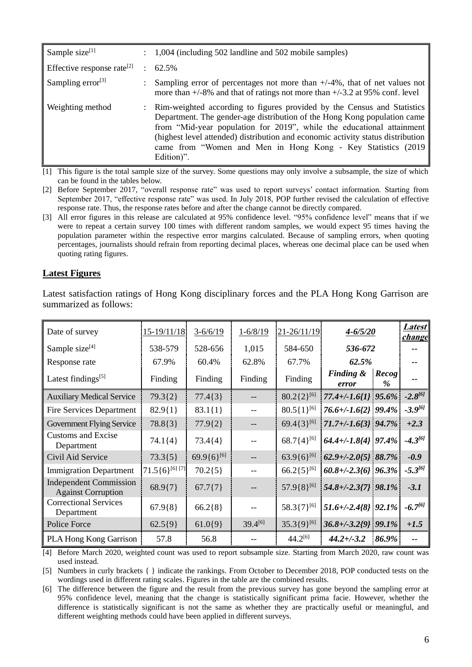| Sample size $[1]$                      | 1,004 (including 502 landline and 502 mobile samples)                                                                                                                                                                                                                                                                                                                                            |
|----------------------------------------|--------------------------------------------------------------------------------------------------------------------------------------------------------------------------------------------------------------------------------------------------------------------------------------------------------------------------------------------------------------------------------------------------|
| Effective response rate <sup>[2]</sup> | $\therefore$ 62.5%                                                                                                                                                                                                                                                                                                                                                                               |
| Sampling error $^{[3]}$                | Sampling error of percentages not more than $+/-4\%$ , that of net values not<br>more than $+/-8\%$ and that of ratings not more than $+/-3.2$ at 95% conf. level                                                                                                                                                                                                                                |
| Weighting method                       | Rim-weighted according to figures provided by the Census and Statistics<br>Department. The gender-age distribution of the Hong Kong population came<br>from "Mid-year population for 2019", while the educational attainment<br>(highest level attended) distribution and economic activity status distribution  <br>came from "Women and Men in Hong Kong - Key Statistics (2019)<br>Edition)". |

[1] This figure is the total sample size of the survey. Some questions may only involve a subsample, the size of which can be found in the tables below.

- [2] Before September 2017, "overall response rate" was used to report surveys' contact information. Starting from September 2017, "effective response rate" was used. In July 2018, POP further revised the calculation of effective response rate. Thus, the response rates before and after the change cannot be directly compared.
- [3] All error figures in this release are calculated at 95% confidence level. "95% confidence level" means that if we were to repeat a certain survey 100 times with different random samples, we would expect 95 times having the population parameter within the respective error margins calculated. Because of sampling errors, when quoting percentages, journalists should refrain from reporting decimal places, whereas one decimal place can be used when quoting rating figures.

#### **Latest Figures**

| Date of survey                                             | $15-19/11/18$         | $3 - 6/6/19$           | $1 - 6/8/19$ | $21 - 26/11/19$        | $4 - 6/5/20$            |               | <i>Latest</i><br><i>change</i> |
|------------------------------------------------------------|-----------------------|------------------------|--------------|------------------------|-------------------------|---------------|--------------------------------|
| Sample size $[4]$                                          | 538-579               | 528-656                | 1,015        | 584-650                | 536-672                 |               |                                |
| Response rate                                              | 67.9%                 | 60.4%                  | 62.8%        | 67.7%                  | 62.5%                   |               |                                |
| Latest findings <sup>[5]</sup>                             | Finding               | Finding                | Finding      | Finding                | Finding &<br>error      | Recog<br>$\%$ |                                |
| <b>Auxiliary Medical Service</b>                           | $79.3{2}$             | $77.4\{3\}$            |              | $80.2\{2\}^{[6]}$      | 77.4+/-1.6{1} 95.6%     |               | $-2.8^{[6]}$                   |
| <b>Fire Services Department</b>                            | $82.9{1}$             | $83.1\{1\}$            |              | $80.5\{1\}^{[6]}$      | 76.6+/-1.6{2} 99.4%     |               | $-3.9^{[6]}$                   |
| <b>Government Flying Service</b>                           | 78.8{3}               | $77.9{2}$              |              | 69.4 $\{3\}^{[6]}$     | $71.7 + (-1.673)$ 94.7% |               | $+2.3$                         |
| <b>Customs and Excise</b><br>Department                    | $74.1\{4\}$           | $73.4{4}$              |              | $68.7\{4\}^{[6]}$      | 64.4+/-1.8{4} 97.4%     |               | $-4.3^{[6]}$                   |
| Civil Aid Service                                          | $73.3{5}$             | 69.9{6} <sup>[6]</sup> |              | 63.9{6} <sup>[6]</sup> | $62.9 + (-2.015)$ 88.7% |               | $-0.9$                         |
| <b>Immigration Department</b>                              | $71.5\{6\}^{[6] [7]}$ | $70.2{5}$              |              | $66.2\{5\}^{[6]}$      | $60.8 + (-2.36)$ 96.3%  |               | $-5.3^{[6]}$                   |
| <b>Independent Commission</b><br><b>Against Corruption</b> | $68.9{7}$             | $67.7{7}$              |              | $57.9\{8\}^{[6]}$      | $54.8 + (-2.377)$ 98.1% |               | $-3.1$                         |
| <b>Correctional Services</b><br>Department                 | $67.9\{8\}$           | $66.2{8}$              | $- -$        | 58.3{7}[6]             | $51.6 + (-2.48)$ 92.1%  |               | $-6.7^{[6]}$                   |
| Police Force                                               | $62.5{9}$             | $61.0{9}$              | $39.4^{[6]}$ | $35.3\{9\}^{[6]}$      | $36.8 + (-3.29)$ 99.1%  |               | $+1.5$                         |
| <b>PLA Hong Kong Garrison</b>                              | 57.8                  | 56.8                   |              | $44.2^{[6]}$           | $44.2 + (-3.2)$         | 86.9%         |                                |

Latest satisfaction ratings of Hong Kong disciplinary forces and the PLA Hong Kong Garrison are summarized as follows:

[4] Before March 2020, weighted count was used to report subsample size. Starting from March 2020, raw count was used instead.

[5] Numbers in curly brackets { } indicate the rankings. From October to December 2018, POP conducted tests on the wordings used in different rating scales. Figures in the table are the combined results.

[6] The difference between the figure and the result from the previous survey has gone beyond the sampling error at 95% confidence level, meaning that the change is statistically significant prima facie. However, whether the difference is statistically significant is not the same as whether they are practically useful or meaningful, and different weighting methods could have been applied in different surveys.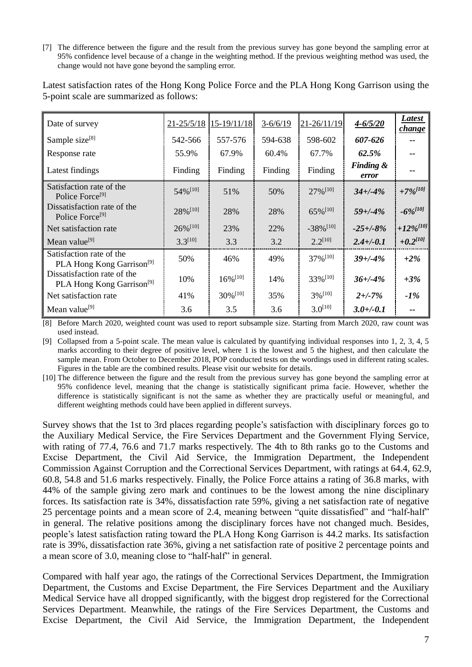[7] The difference between the figure and the result from the previous survey has gone beyond the sampling error at 95% confidence level because of a change in the weighting method. If the previous weighting method was used, the change would not have gone beyond the sampling error.

| Date of survey                                                       | $21 - 25/5/18$         | $15-19/11/18$          | $3 - 6/6/19$ | 21-26/11/19             | $4 - 6/5/20$                  | <b>Latest</b><br><i>change</i> |
|----------------------------------------------------------------------|------------------------|------------------------|--------------|-------------------------|-------------------------------|--------------------------------|
| Sample size <sup>[8]</sup>                                           | 542-566                | 557-576                | 594-638      | 598-602                 | 607-626                       |                                |
| Response rate                                                        | 55.9%                  | 67.9%                  | 60.4%        | 67.7%                   | 62.5%                         | --                             |
| Latest findings                                                      | Finding                | Finding                | Finding      | Finding                 | <b>Finding &amp;</b><br>error | --                             |
| Satisfaction rate of the<br>Police Force <sup>[9]</sup>              | 54% [10]               | 51%                    | 50%          | $27\%$ <sup>[10]</sup>  | $34 + (-4%)$                  | $+7\%$ <sup>[10]</sup>         |
| Dissatisfaction rate of the<br>Police Force <sup>[9]</sup>           | 28% [10]               | 28%                    | 28%          | 65% [10]                | $59 + (-4%)$                  | $-6\%^{[10]}$                  |
| Net satisfaction rate                                                | $26\%$ <sup>[10]</sup> | 23%                    | 22%          | $-38\%$ <sup>[10]</sup> | $-25 + (-8%)$                 | $+12\%$ <sup>[10]</sup>        |
| Mean value <sup>[9]</sup>                                            | $3.3^{[10]}$           | 3.3                    | 3.2          | $2.2^{[10]}$            | $2.4 + (-0.1)$                | $+0.2^{[10]}$                  |
| Satisfaction rate of the<br>PLA Hong Kong Garrison <sup>[9]</sup>    | 50%                    | 46%                    | 49%          | $37\%$ <sup>[10]</sup>  | $39 + (-4%$                   | $+2\%$                         |
| Dissatisfaction rate of the<br>PLA Hong Kong Garrison <sup>[9]</sup> | 10%                    | $16\%$ <sup>[10]</sup> | 14%          | 33% [10]                | $36 + (-4%$                   | $+3\%$                         |
| Net satisfaction rate                                                | 41%                    | $30\%$ <sup>[10]</sup> | 35%          | $3\%$ <sup>[10]</sup>   | $2 + (-7%)$                   | $-1\%$                         |
| Mean value <sup>[9]</sup>                                            | 3.6                    | 3.5                    | 3.6          | $3.0^{[10]}$            | $3.0 +/-0.1$                  | $-$                            |

Latest satisfaction rates of the Hong Kong Police Force and the PLA Hong Kong Garrison using the 5-point scale are summarized as follows:

[8] Before March 2020, weighted count was used to report subsample size. Starting from March 2020, raw count was used instead.

[9] Collapsed from a 5-point scale. The mean value is calculated by quantifying individual responses into 1, 2, 3, 4, 5 marks according to their degree of positive level, where 1 is the lowest and 5 the highest, and then calculate the sample mean. From October to December 2018, POP conducted tests on the wordings used in different rating scales. Figures in the table are the combined results. Please visit our website for details.

[10] The difference between the figure and the result from the previous survey has gone beyond the sampling error at 95% confidence level, meaning that the change is statistically significant prima facie. However, whether the difference is statistically significant is not the same as whether they are practically useful or meaningful, and different weighting methods could have been applied in different surveys.

Survey shows that the 1st to 3rd places regarding people's satisfaction with disciplinary forces go to the Auxiliary Medical Service, the Fire Services Department and the Government Flying Service, with rating of 77.4, 76.6 and 71.7 marks respectively. The 4th to 8th ranks go to the Customs and Excise Department, the Civil Aid Service, the Immigration Department, the Independent Commission Against Corruption and the Correctional Services Department, with ratings at 64.4, 62.9, 60.8, 54.8 and 51.6 marks respectively. Finally, the Police Force attains a rating of 36.8 marks, with 44% of the sample giving zero mark and continues to be the lowest among the nine disciplinary forces. Its satisfaction rate is 34%, dissatisfaction rate 59%, giving a net satisfaction rate of negative 25 percentage points and a mean score of 2.4, meaning between "quite dissatisfied" and "half-half" in general. The relative positions among the disciplinary forces have not changed much. Besides, people's latest satisfaction rating toward the PLA Hong Kong Garrison is 44.2 marks. Its satisfaction rate is 39%, dissatisfaction rate 36%, giving a net satisfaction rate of positive 2 percentage points and a mean score of 3.0, meaning close to "half-half" in general.

Compared with half year ago, the ratings of the Correctional Services Department, the Immigration Department, the Customs and Excise Department, the Fire Services Department and the Auxiliary Medical Service have all dropped significantly, with the biggest drop registered for the Correctional Services Department. Meanwhile, the ratings of the Fire Services Department, the Customs and Excise Department, the Civil Aid Service, the Immigration Department, the Independent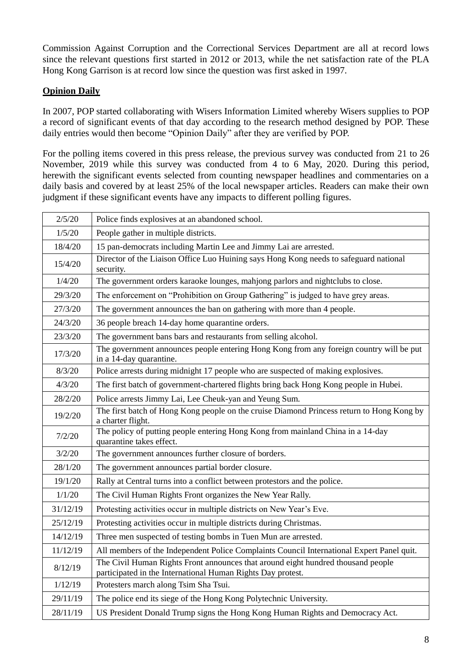Commission Against Corruption and the Correctional Services Department are all at record lows since the relevant questions first started in 2012 or 2013, while the net satisfaction rate of the PLA Hong Kong Garrison is at record low since the question was first asked in 1997.

### **Opinion Daily**

In 2007, POP started collaborating with Wisers Information Limited whereby Wisers supplies to POP a record of significant events of that day according to the research method designed by POP. These daily entries would then become "Opinion Daily" after they are verified by POP.

For the polling items covered in this press release, the previous survey was conducted from 21 to 26 November, 2019 while this survey was conducted from 4 to 6 May, 2020. During this period, herewith the significant events selected from counting newspaper headlines and commentaries on a daily basis and covered by at least 25% of the local newspaper articles. Readers can make their own judgment if these significant events have any impacts to different polling figures.

| 2/5/20   | Police finds explosives at an abandoned school.                                                                                                 |
|----------|-------------------------------------------------------------------------------------------------------------------------------------------------|
| 1/5/20   | People gather in multiple districts.                                                                                                            |
| 18/4/20  | 15 pan-democrats including Martin Lee and Jimmy Lai are arrested.                                                                               |
| 15/4/20  | Director of the Liaison Office Luo Huining says Hong Kong needs to safeguard national<br>security.                                              |
| 1/4/20   | The government orders karaoke lounges, mahjong parlors and nightclubs to close.                                                                 |
| 29/3/20  | The enforcement on "Prohibition on Group Gathering" is judged to have grey areas.                                                               |
| 27/3/20  | The government announces the ban on gathering with more than 4 people.                                                                          |
| 24/3/20  | 36 people breach 14-day home quarantine orders.                                                                                                 |
| 23/3/20  | The government bans bars and restaurants from selling alcohol.                                                                                  |
| 17/3/20  | The government announces people entering Hong Kong from any foreign country will be put<br>in a 14-day quarantine.                              |
| 8/3/20   | Police arrests during midnight 17 people who are suspected of making explosives.                                                                |
| 4/3/20   | The first batch of government-chartered flights bring back Hong Kong people in Hubei.                                                           |
| 28/2/20  | Police arrests Jimmy Lai, Lee Cheuk-yan and Yeung Sum.                                                                                          |
| 19/2/20  | The first batch of Hong Kong people on the cruise Diamond Princess return to Hong Kong by<br>a charter flight.                                  |
| 7/2/20   | The policy of putting people entering Hong Kong from mainland China in a 14-day<br>quarantine takes effect.                                     |
| 3/2/20   | The government announces further closure of borders.                                                                                            |
| 28/1/20  | The government announces partial border closure.                                                                                                |
| 19/1/20  | Rally at Central turns into a conflict between protestors and the police.                                                                       |
| 1/1/20   | The Civil Human Rights Front organizes the New Year Rally.                                                                                      |
| 31/12/19 | Protesting activities occur in multiple districts on New Year's Eve.                                                                            |
| 25/12/19 | Protesting activities occur in multiple districts during Christmas.                                                                             |
| 14/12/19 | Three men suspected of testing bombs in Tuen Mun are arrested.                                                                                  |
| 11/12/19 | All members of the Independent Police Complaints Council International Expert Panel quit.                                                       |
| 8/12/19  | The Civil Human Rights Front announces that around eight hundred thousand people<br>participated in the International Human Rights Day protest. |
| 1/12/19  | Protesters march along Tsim Sha Tsui.                                                                                                           |
| 29/11/19 | The police end its siege of the Hong Kong Polytechnic University.                                                                               |
| 28/11/19 | US President Donald Trump signs the Hong Kong Human Rights and Democracy Act.                                                                   |